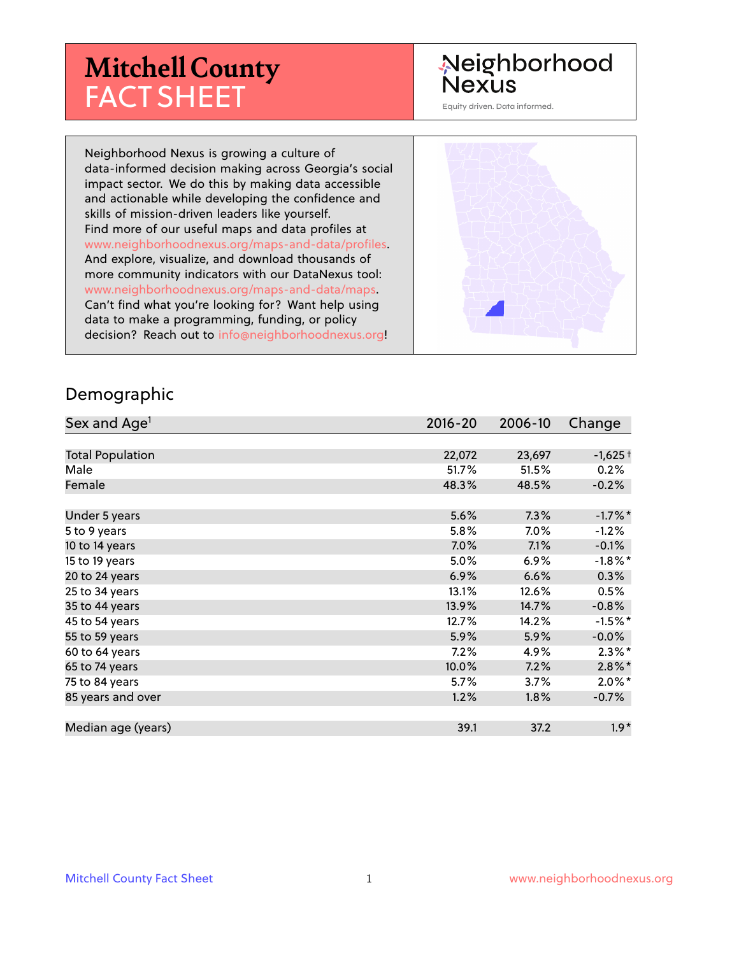# **Mitchell County** FACT SHEET

# Neighborhood **Nexus**

Equity driven. Data informed.

Neighborhood Nexus is growing a culture of data-informed decision making across Georgia's social impact sector. We do this by making data accessible and actionable while developing the confidence and skills of mission-driven leaders like yourself. Find more of our useful maps and data profiles at www.neighborhoodnexus.org/maps-and-data/profiles. And explore, visualize, and download thousands of more community indicators with our DataNexus tool: www.neighborhoodnexus.org/maps-and-data/maps. Can't find what you're looking for? Want help using data to make a programming, funding, or policy decision? Reach out to [info@neighborhoodnexus.org!](mailto:info@neighborhoodnexus.org)



#### Demographic

| Sex and Age <sup>1</sup> | $2016 - 20$ | 2006-10 | Change     |
|--------------------------|-------------|---------|------------|
|                          |             |         |            |
| <b>Total Population</b>  | 22,072      | 23,697  | $-1,625+$  |
| Male                     | 51.7%       | 51.5%   | 0.2%       |
| Female                   | 48.3%       | 48.5%   | $-0.2%$    |
|                          |             |         |            |
| Under 5 years            | 5.6%        | 7.3%    | $-1.7%$ *  |
| 5 to 9 years             | 5.8%        | 7.0%    | $-1.2%$    |
| 10 to 14 years           | $7.0\%$     | 7.1%    | $-0.1%$    |
| 15 to 19 years           | 5.0%        | $6.9\%$ | $-1.8\%$ * |
| 20 to 24 years           | 6.9%        | 6.6%    | 0.3%       |
| 25 to 34 years           | 13.1%       | 12.6%   | 0.5%       |
| 35 to 44 years           | 13.9%       | 14.7%   | $-0.8%$    |
| 45 to 54 years           | 12.7%       | 14.2%   | $-1.5%$ *  |
| 55 to 59 years           | 5.9%        | 5.9%    | $-0.0%$    |
| 60 to 64 years           | $7.2\%$     | 4.9%    | $2.3\%$ *  |
| 65 to 74 years           | 10.0%       | 7.2%    | $2.8\%$ *  |
| 75 to 84 years           | 5.7%        | 3.7%    | $2.0\%$ *  |
| 85 years and over        | 1.2%        | 1.8%    | $-0.7\%$   |
|                          |             |         |            |
| Median age (years)       | 39.1        | 37.2    | $1.9*$     |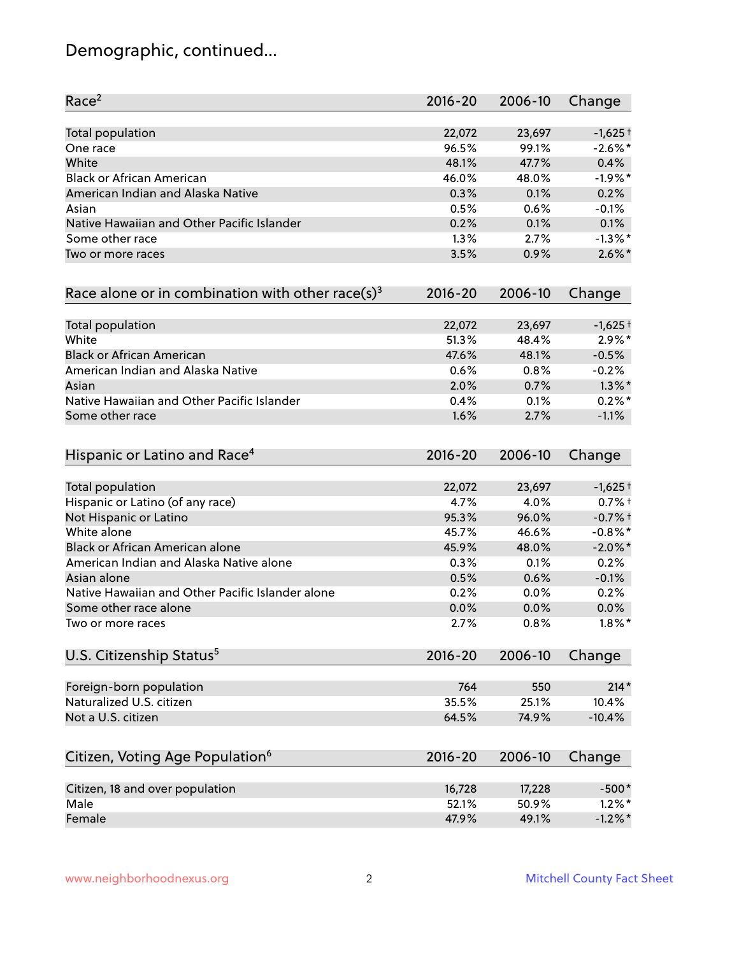# Demographic, continued...

| Race <sup>2</sup>                                   | $2016 - 20$ | 2006-10 | Change     |
|-----------------------------------------------------|-------------|---------|------------|
| <b>Total population</b>                             | 22,072      | 23,697  | $-1,625+$  |
| One race                                            | 96.5%       | 99.1%   | $-2.6\%$ * |
| White                                               | 48.1%       | 47.7%   | 0.4%       |
| <b>Black or African American</b>                    | 46.0%       | 48.0%   | $-1.9%$ *  |
| American Indian and Alaska Native                   | 0.3%        | 0.1%    | 0.2%       |
| Asian                                               | 0.5%        | $0.6\%$ | $-0.1%$    |
| Native Hawaiian and Other Pacific Islander          | 0.2%        | 0.1%    | 0.1%       |
| Some other race                                     | 1.3%        | 2.7%    | $-1.3%$ *  |
| Two or more races                                   | 3.5%        | 0.9%    | $2.6\%$ *  |
| Race alone or in combination with other race(s) $3$ | $2016 - 20$ | 2006-10 | Change     |
| Total population                                    | 22,072      | 23,697  | $-1,625+$  |
| White                                               | 51.3%       | 48.4%   | $2.9\%*$   |
| <b>Black or African American</b>                    | 47.6%       | 48.1%   | $-0.5%$    |
| American Indian and Alaska Native                   | 0.6%        | 0.8%    | $-0.2%$    |
| Asian                                               | 2.0%        | 0.7%    | $1.3\%$ *  |
| Native Hawaiian and Other Pacific Islander          | 0.4%        | 0.1%    | $0.2%$ *   |
| Some other race                                     | 1.6%        | 2.7%    | $-1.1%$    |
| Hispanic or Latino and Race <sup>4</sup>            | $2016 - 20$ | 2006-10 | Change     |
| Total population                                    | 22,072      | 23,697  | $-1,625+$  |
| Hispanic or Latino (of any race)                    | 4.7%        | 4.0%    | $0.7%$ +   |
| Not Hispanic or Latino                              | 95.3%       | 96.0%   | $-0.7%$ +  |
| White alone                                         | 45.7%       | 46.6%   | $-0.8\%$ * |
| Black or African American alone                     | 45.9%       | 48.0%   | $-2.0\%$ * |
| American Indian and Alaska Native alone             | 0.3%        | 0.1%    | 0.2%       |
| Asian alone                                         | 0.5%        | 0.6%    | $-0.1%$    |
| Native Hawaiian and Other Pacific Islander alone    | 0.2%        | 0.0%    | 0.2%       |
| Some other race alone                               | 0.0%        | 0.0%    | 0.0%       |
| Two or more races                                   | 2.7%        | 0.8%    | $1.8\%$ *  |
| U.S. Citizenship Status <sup>5</sup>                | $2016 - 20$ | 2006-10 | Change     |
| Foreign-born population                             | 764         | 550     | $214*$     |
| Naturalized U.S. citizen                            | 35.5%       | 25.1%   | 10.4%      |
| Not a U.S. citizen                                  | 64.5%       | 74.9%   | $-10.4%$   |
| Citizen, Voting Age Population <sup>6</sup>         | $2016 - 20$ | 2006-10 | Change     |
| Citizen, 18 and over population                     | 16,728      | 17,228  | $-500*$    |
| Male                                                | 52.1%       | 50.9%   | $1.2\%$ *  |
| Female                                              | 47.9%       | 49.1%   | $-1.2\%$ * |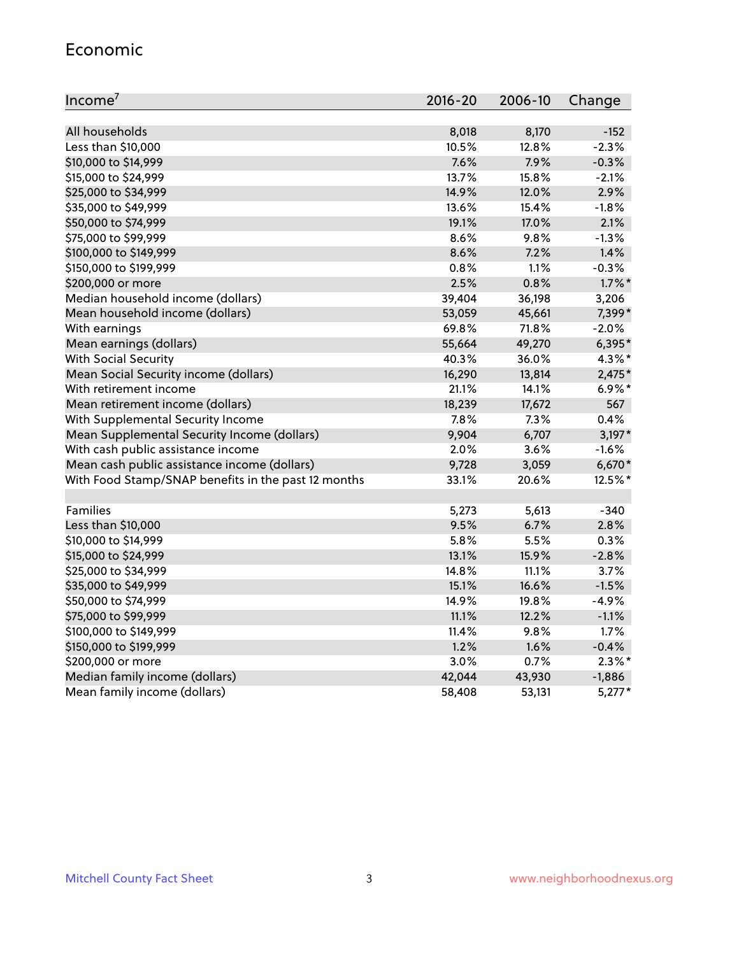#### Economic

| Income <sup>7</sup>                                 | $2016 - 20$ | 2006-10 | Change    |
|-----------------------------------------------------|-------------|---------|-----------|
|                                                     |             |         |           |
| All households                                      | 8,018       | 8,170   | $-152$    |
| Less than \$10,000                                  | 10.5%       | 12.8%   | $-2.3%$   |
| \$10,000 to \$14,999                                | 7.6%        | 7.9%    | $-0.3%$   |
| \$15,000 to \$24,999                                | 13.7%       | 15.8%   | $-2.1%$   |
| \$25,000 to \$34,999                                | 14.9%       | 12.0%   | 2.9%      |
| \$35,000 to \$49,999                                | 13.6%       | 15.4%   | $-1.8%$   |
| \$50,000 to \$74,999                                | 19.1%       | 17.0%   | 2.1%      |
| \$75,000 to \$99,999                                | 8.6%        | 9.8%    | $-1.3%$   |
| \$100,000 to \$149,999                              | 8.6%        | 7.2%    | 1.4%      |
| \$150,000 to \$199,999                              | 0.8%        | 1.1%    | $-0.3%$   |
| \$200,000 or more                                   | 2.5%        | 0.8%    | $1.7\%$ * |
| Median household income (dollars)                   | 39,404      | 36,198  | 3,206     |
| Mean household income (dollars)                     | 53,059      | 45,661  | 7,399*    |
| With earnings                                       | 69.8%       | 71.8%   | $-2.0%$   |
| Mean earnings (dollars)                             | 55,664      | 49,270  | 6,395*    |
| <b>With Social Security</b>                         | 40.3%       | 36.0%   | $4.3\%$ * |
| Mean Social Security income (dollars)               | 16,290      | 13,814  | $2,475*$  |
| With retirement income                              | 21.1%       | 14.1%   | $6.9\%$ * |
| Mean retirement income (dollars)                    | 18,239      | 17,672  | 567       |
| With Supplemental Security Income                   | 7.8%        | $7.3\%$ | 0.4%      |
| Mean Supplemental Security Income (dollars)         | 9,904       | 6,707   | $3,197*$  |
| With cash public assistance income                  | 2.0%        | $3.6\%$ | $-1.6%$   |
| Mean cash public assistance income (dollars)        | 9,728       | 3,059   | 6,670*    |
| With Food Stamp/SNAP benefits in the past 12 months | 33.1%       | 20.6%   | 12.5%*    |
|                                                     |             |         |           |
| Families                                            | 5,273       | 5,613   | $-340$    |
| Less than \$10,000                                  | 9.5%        | 6.7%    | 2.8%      |
| \$10,000 to \$14,999                                | 5.8%        | 5.5%    | 0.3%      |
| \$15,000 to \$24,999                                | 13.1%       | 15.9%   | $-2.8%$   |
| \$25,000 to \$34,999                                | 14.8%       | 11.1%   | 3.7%      |
| \$35,000 to \$49,999                                | 15.1%       | 16.6%   | $-1.5%$   |
| \$50,000 to \$74,999                                | 14.9%       | 19.8%   | $-4.9%$   |
| \$75,000 to \$99,999                                | 11.1%       | 12.2%   | $-1.1%$   |
| \$100,000 to \$149,999                              | 11.4%       | 9.8%    | 1.7%      |
| \$150,000 to \$199,999                              | 1.2%        | 1.6%    | $-0.4%$   |
| \$200,000 or more                                   | 3.0%        | 0.7%    | $2.3\%$ * |
| Median family income (dollars)                      | 42,044      | 43,930  | $-1,886$  |
| Mean family income (dollars)                        | 58,408      | 53,131  | $5,277*$  |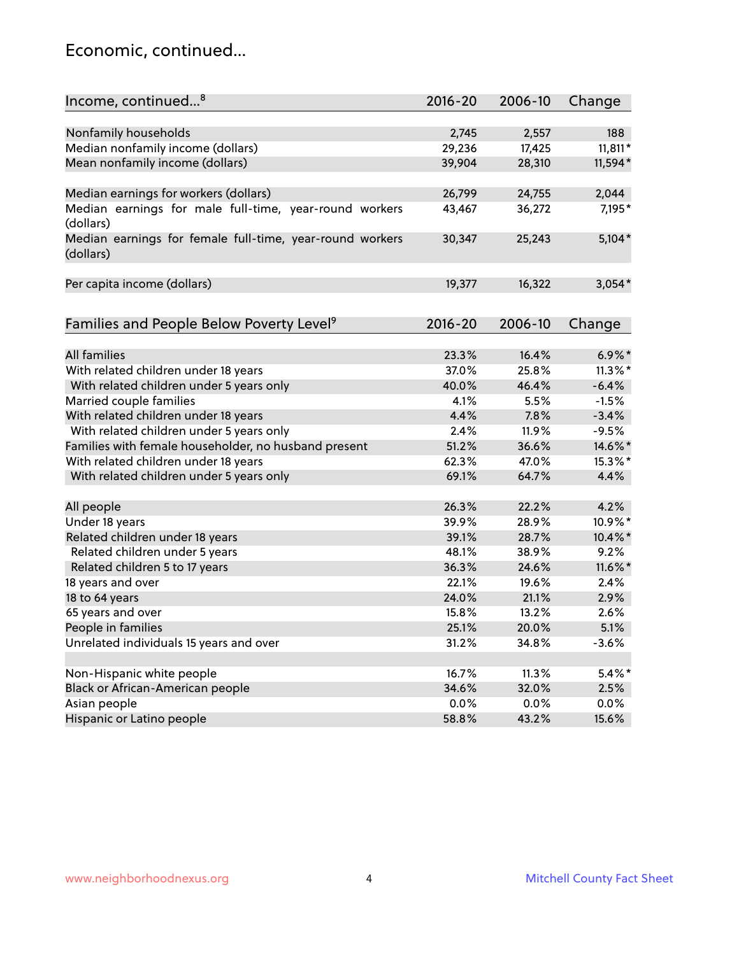### Economic, continued...

| Income, continued <sup>8</sup>                                        | $2016 - 20$ | 2006-10 | Change     |
|-----------------------------------------------------------------------|-------------|---------|------------|
|                                                                       |             |         |            |
| Nonfamily households                                                  | 2,745       | 2,557   | 188        |
| Median nonfamily income (dollars)                                     | 29,236      | 17,425  | $11,811*$  |
| Mean nonfamily income (dollars)                                       | 39,904      | 28,310  | 11,594*    |
| Median earnings for workers (dollars)                                 | 26,799      | 24,755  | 2,044      |
| Median earnings for male full-time, year-round workers                | 43,467      | 36,272  | 7,195*     |
| (dollars)                                                             |             |         |            |
| Median earnings for female full-time, year-round workers<br>(dollars) | 30,347      | 25,243  | $5,104*$   |
| Per capita income (dollars)                                           | 19,377      | 16,322  | $3,054*$   |
|                                                                       |             |         |            |
| Families and People Below Poverty Level <sup>9</sup>                  | $2016 - 20$ | 2006-10 | Change     |
|                                                                       |             |         |            |
| <b>All families</b>                                                   | 23.3%       | 16.4%   | $6.9\%$ *  |
| With related children under 18 years                                  | 37.0%       | 25.8%   | $11.3\%$ * |
| With related children under 5 years only                              | 40.0%       | 46.4%   | $-6.4%$    |
| Married couple families                                               | 4.1%        | 5.5%    | $-1.5%$    |
| With related children under 18 years                                  | 4.4%        | 7.8%    | $-3.4%$    |
| With related children under 5 years only                              | 2.4%        | 11.9%   | $-9.5%$    |
| Families with female householder, no husband present                  | 51.2%       | 36.6%   | 14.6%*     |
| With related children under 18 years                                  | 62.3%       | 47.0%   | 15.3%*     |
| With related children under 5 years only                              | 69.1%       | 64.7%   | 4.4%       |
| All people                                                            | 26.3%       | 22.2%   | 4.2%       |
| Under 18 years                                                        | 39.9%       | 28.9%   | 10.9%*     |
| Related children under 18 years                                       | 39.1%       | 28.7%   | 10.4%*     |
| Related children under 5 years                                        | 48.1%       | 38.9%   | 9.2%       |
| Related children 5 to 17 years                                        | 36.3%       | 24.6%   | $11.6\%$ * |
| 18 years and over                                                     | 22.1%       | 19.6%   | 2.4%       |
| 18 to 64 years                                                        | 24.0%       | 21.1%   | 2.9%       |
| 65 years and over                                                     | 15.8%       | 13.2%   | 2.6%       |
| People in families                                                    | 25.1%       | 20.0%   | 5.1%       |
| Unrelated individuals 15 years and over                               | 31.2%       | 34.8%   | $-3.6%$    |
|                                                                       |             |         |            |
| Non-Hispanic white people                                             | 16.7%       | 11.3%   | $5.4\%$ *  |
| Black or African-American people                                      | 34.6%       | 32.0%   | 2.5%       |
| Asian people                                                          | 0.0%        | $0.0\%$ | 0.0%       |
| Hispanic or Latino people                                             | 58.8%       | 43.2%   | 15.6%      |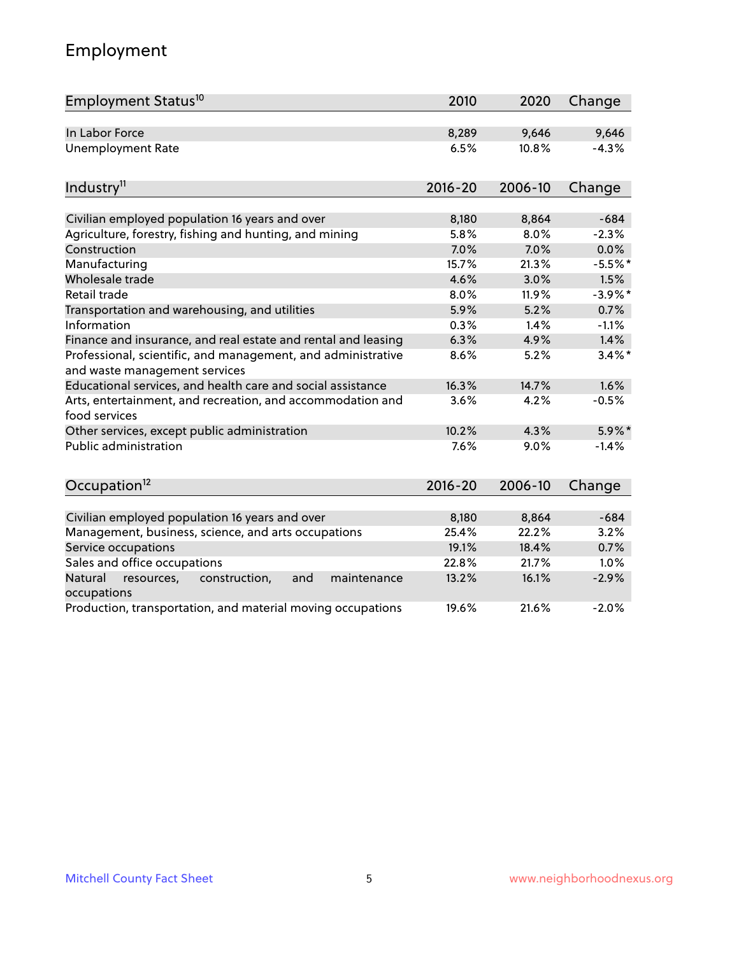# Employment

| Employment Status <sup>10</sup>                                                               | 2010        | 2020    | Change     |
|-----------------------------------------------------------------------------------------------|-------------|---------|------------|
| In Labor Force                                                                                | 8,289       | 9,646   | 9,646      |
| <b>Unemployment Rate</b>                                                                      | 6.5%        | 10.8%   | $-4.3%$    |
| Industry <sup>11</sup>                                                                        | $2016 - 20$ | 2006-10 | Change     |
|                                                                                               |             |         |            |
| Civilian employed population 16 years and over                                                | 8,180       | 8,864   | $-684$     |
| Agriculture, forestry, fishing and hunting, and mining                                        | 5.8%        | 8.0%    | $-2.3%$    |
| Construction                                                                                  | 7.0%        | 7.0%    | 0.0%       |
| Manufacturing                                                                                 | 15.7%       | 21.3%   | $-5.5%$ *  |
| Wholesale trade                                                                               | 4.6%        | 3.0%    | 1.5%       |
| Retail trade                                                                                  | 8.0%        | 11.9%   | $-3.9\%$ * |
| Transportation and warehousing, and utilities                                                 | 5.9%        | 5.2%    | 0.7%       |
| Information                                                                                   | 0.3%        | 1.4%    | $-1.1%$    |
| Finance and insurance, and real estate and rental and leasing                                 | 6.3%        | 4.9%    | 1.4%       |
| Professional, scientific, and management, and administrative<br>and waste management services | 8.6%        | 5.2%    | $3.4\%$ *  |
| Educational services, and health care and social assistance                                   | 16.3%       | 14.7%   | 1.6%       |
| Arts, entertainment, and recreation, and accommodation and<br>food services                   | 3.6%        | 4.2%    | $-0.5%$    |
| Other services, except public administration                                                  | 10.2%       | 4.3%    | $5.9\%$ *  |
| <b>Public administration</b>                                                                  | 7.6%        | 9.0%    | $-1.4%$    |
| Occupation <sup>12</sup>                                                                      | $2016 - 20$ | 2006-10 | Change     |
|                                                                                               |             |         |            |
| Civilian employed population 16 years and over                                                | 8,180       | 8,864   | $-684$     |
| Management, business, science, and arts occupations                                           | 25.4%       | 22.2%   | 3.2%       |
| Service occupations                                                                           | 19.1%       | 18.4%   | 0.7%       |
| Sales and office occupations                                                                  | 22.8%       | 21.7%   | 1.0%       |
| maintenance<br>Natural<br>resources,<br>construction,<br>and<br>occupations                   | 13.2%       | 16.1%   | $-2.9%$    |
| Production, transportation, and material moving occupations                                   | 19.6%       | 21.6%   | $-2.0%$    |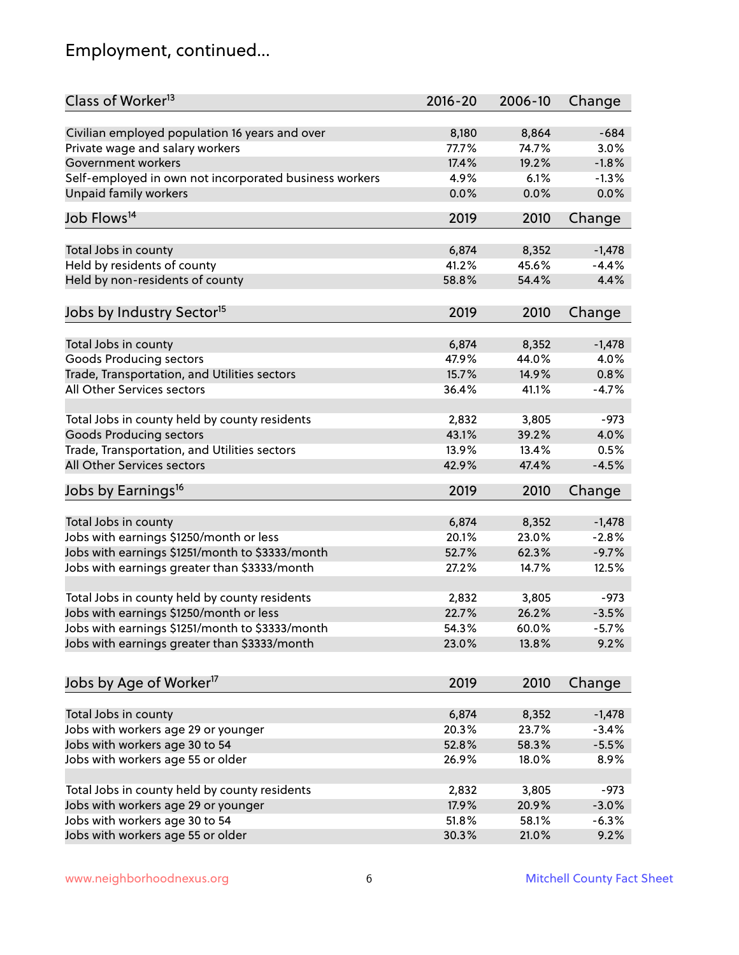# Employment, continued...

| Class of Worker <sup>13</sup>                          | $2016 - 20$    | 2006-10        | Change   |
|--------------------------------------------------------|----------------|----------------|----------|
| Civilian employed population 16 years and over         | 8,180          | 8,864          | $-684$   |
| Private wage and salary workers                        | 77.7%          | 74.7%          | 3.0%     |
| Government workers                                     | 17.4%          | 19.2%          | $-1.8%$  |
| Self-employed in own not incorporated business workers | 4.9%           | 6.1%           | $-1.3%$  |
| <b>Unpaid family workers</b>                           | 0.0%           | 0.0%           | 0.0%     |
|                                                        |                |                |          |
| Job Flows <sup>14</sup>                                | 2019           | 2010           | Change   |
| Total Jobs in county                                   | 6,874          | 8,352          | $-1,478$ |
| Held by residents of county                            | 41.2%          | 45.6%          | $-4.4%$  |
| Held by non-residents of county                        | 58.8%          | 54.4%          | 4.4%     |
|                                                        |                |                |          |
| Jobs by Industry Sector <sup>15</sup>                  | 2019           | 2010           | Change   |
| Total Jobs in county                                   | 6,874          | 8,352          | $-1,478$ |
| Goods Producing sectors                                | 47.9%          | 44.0%          | 4.0%     |
| Trade, Transportation, and Utilities sectors           | 15.7%          | 14.9%          | 0.8%     |
| All Other Services sectors                             | 36.4%          | 41.1%          | $-4.7%$  |
|                                                        |                |                |          |
| Total Jobs in county held by county residents          | 2,832          | 3,805          | $-973$   |
| <b>Goods Producing sectors</b>                         | 43.1%          | 39.2%          | 4.0%     |
| Trade, Transportation, and Utilities sectors           | 13.9%          | 13.4%          | 0.5%     |
| All Other Services sectors                             | 42.9%          | 47.4%          | $-4.5%$  |
| Jobs by Earnings <sup>16</sup>                         | 2019           | 2010           | Change   |
|                                                        |                |                |          |
| Total Jobs in county                                   | 6,874          | 8,352          | $-1,478$ |
| Jobs with earnings \$1250/month or less                | 20.1%          | 23.0%          | $-2.8%$  |
| Jobs with earnings \$1251/month to \$3333/month        | 52.7%          | 62.3%          | $-9.7%$  |
| Jobs with earnings greater than \$3333/month           | 27.2%          | 14.7%          | 12.5%    |
| Total Jobs in county held by county residents          | 2,832          | 3,805          | $-973$   |
| Jobs with earnings \$1250/month or less                | 22.7%          | 26.2%          | $-3.5%$  |
| Jobs with earnings \$1251/month to \$3333/month        | 54.3%          | $60.0\%$       | $-5.7\%$ |
| Jobs with earnings greater than \$3333/month           | 23.0%          | 13.8%          | 9.2%     |
|                                                        |                |                |          |
| Jobs by Age of Worker <sup>17</sup>                    | 2019           | 2010           | Change   |
|                                                        |                |                |          |
| Total Jobs in county                                   | 6,874<br>20.3% | 8,352<br>23.7% | $-1,478$ |
| Jobs with workers age 29 or younger                    |                |                | $-3.4%$  |
| Jobs with workers age 30 to 54                         | 52.8%          | 58.3%          | $-5.5%$  |
| Jobs with workers age 55 or older                      | 26.9%          | 18.0%          | 8.9%     |
| Total Jobs in county held by county residents          | 2,832          | 3,805          | $-973$   |
| Jobs with workers age 29 or younger                    | 17.9%          | 20.9%          | $-3.0%$  |
| Jobs with workers age 30 to 54                         | 51.8%          | 58.1%          | $-6.3%$  |
| Jobs with workers age 55 or older                      | 30.3%          | 21.0%          | 9.2%     |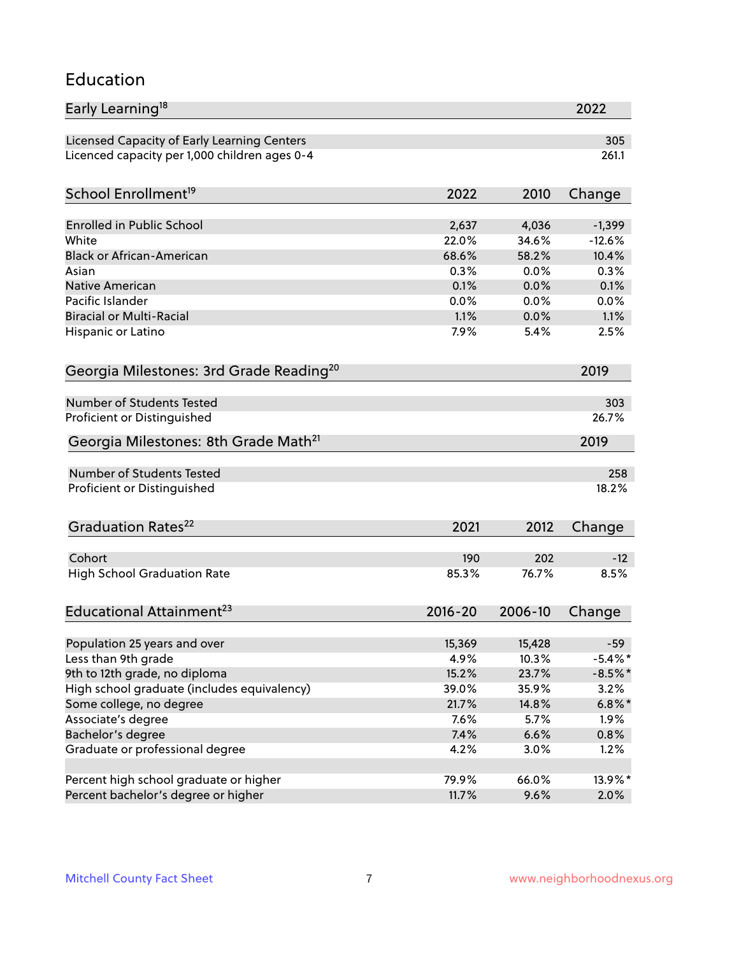#### Education

| Early Learning <sup>18</sup>                        |             |         | 2022       |
|-----------------------------------------------------|-------------|---------|------------|
| Licensed Capacity of Early Learning Centers         |             |         | 305        |
| Licenced capacity per 1,000 children ages 0-4       |             |         | 261.1      |
| School Enrollment <sup>19</sup>                     | 2022        | 2010    | Change     |
|                                                     |             |         |            |
| Enrolled in Public School                           | 2,637       | 4,036   | $-1,399$   |
| White                                               | 22.0%       | 34.6%   | $-12.6%$   |
| <b>Black or African-American</b>                    | 68.6%       | 58.2%   | 10.4%      |
| Asian                                               | 0.3%        | 0.0%    | 0.3%       |
| Native American                                     | 0.1%        | 0.0%    | 0.1%       |
| Pacific Islander                                    | 0.0%        | 0.0%    | 0.0%       |
| <b>Biracial or Multi-Racial</b>                     | 1.1%        | 0.0%    | 1.1%       |
| Hispanic or Latino                                  | 7.9%        | 5.4%    | 2.5%       |
| Georgia Milestones: 3rd Grade Reading <sup>20</sup> |             |         | 2019       |
|                                                     |             |         |            |
| Number of Students Tested                           |             |         | 303        |
| Proficient or Distinguished                         |             |         | 26.7%      |
| Georgia Milestones: 8th Grade Math <sup>21</sup>    |             |         | 2019       |
| Number of Students Tested                           |             |         | 258        |
| Proficient or Distinguished                         |             |         | 18.2%      |
| Graduation Rates <sup>22</sup>                      | 2021        | 2012    | Change     |
|                                                     |             |         |            |
| Cohort                                              | 190         | 202     | $-12$      |
| <b>High School Graduation Rate</b>                  | 85.3%       | 76.7%   | 8.5%       |
| Educational Attainment <sup>23</sup>                | $2016 - 20$ | 2006-10 | Change     |
|                                                     |             |         |            |
| Population 25 years and over                        | 15,369      | 15,428  | $-59$      |
| Less than 9th grade                                 | 4.9%        | 10.3%   | $-5.4\%$ * |
| 9th to 12th grade, no diploma                       | 15.2%       | 23.7%   | $-8.5%$ *  |
| High school graduate (includes equivalency)         | 39.0%       | 35.9%   | 3.2%       |
| Some college, no degree                             | 21.7%       | 14.8%   | $6.8\%$ *  |
| Associate's degree                                  | 7.6%        | 5.7%    | 1.9%       |
| Bachelor's degree                                   | 7.4%        | 6.6%    | 0.8%       |
| Graduate or professional degree                     | 4.2%        | 3.0%    | 1.2%       |
| Percent high school graduate or higher              | 79.9%       | 66.0%   | 13.9%*     |
| Percent bachelor's degree or higher                 | 11.7%       | 9.6%    | 2.0%       |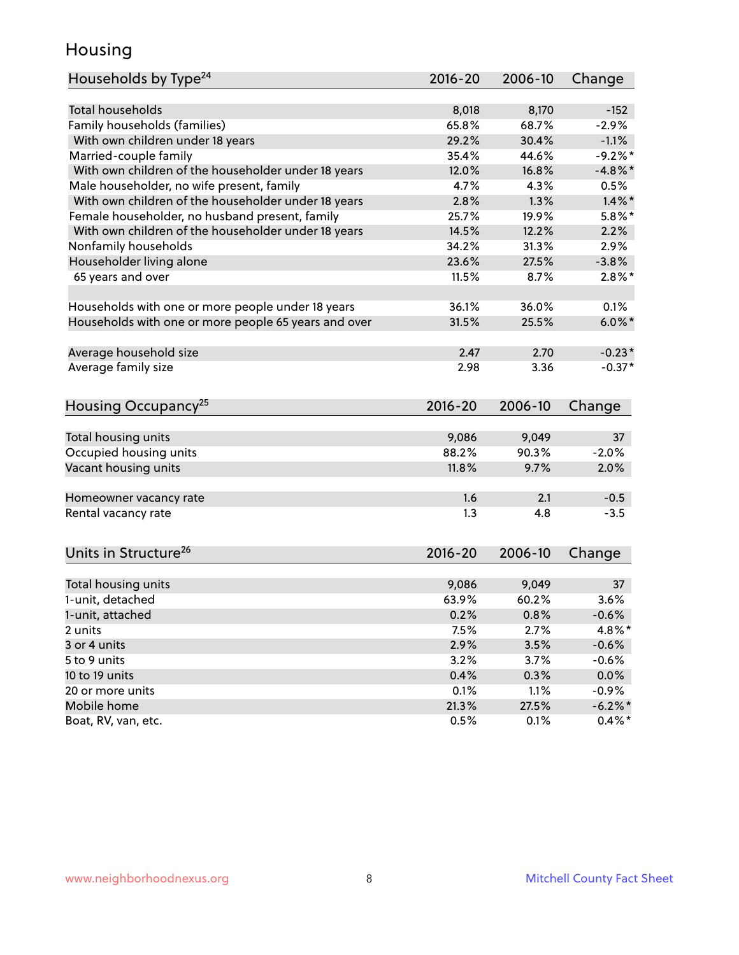### Housing

| Households by Type <sup>24</sup>                     | 2016-20     | 2006-10 | Change          |
|------------------------------------------------------|-------------|---------|-----------------|
|                                                      |             |         |                 |
| <b>Total households</b>                              | 8,018       | 8,170   | $-152$          |
| Family households (families)                         | 65.8%       | 68.7%   | $-2.9%$         |
| With own children under 18 years                     | 29.2%       | 30.4%   | $-1.1%$         |
| Married-couple family                                | 35.4%       | 44.6%   | $-9.2%$         |
| With own children of the householder under 18 years  | 12.0%       | 16.8%   | $-4.8\%$ *      |
| Male householder, no wife present, family            | 4.7%        | 4.3%    | 0.5%            |
| With own children of the householder under 18 years  | 2.8%        | 1.3%    | $1.4\%$ *       |
| Female householder, no husband present, family       | 25.7%       | 19.9%   | $5.8\%$ *       |
| With own children of the householder under 18 years  | 14.5%       | 12.2%   | 2.2%            |
| Nonfamily households                                 | 34.2%       | 31.3%   | 2.9%            |
| Householder living alone                             | 23.6%       | 27.5%   | $-3.8%$         |
| 65 years and over                                    | 11.5%       | 8.7%    | $2.8\%$ *       |
| Households with one or more people under 18 years    | 36.1%       | 36.0%   | 0.1%            |
| Households with one or more people 65 years and over | 31.5%       | 25.5%   | $6.0\%$ *       |
|                                                      |             |         |                 |
| Average household size                               | 2.47        | 2.70    | $-0.23*$        |
| Average family size                                  | 2.98        | 3.36    | $-0.37*$        |
| Housing Occupancy <sup>25</sup>                      | $2016 - 20$ | 2006-10 | Change          |
|                                                      |             |         |                 |
| Total housing units                                  | 9,086       | 9,049   | 37              |
| Occupied housing units                               | 88.2%       | 90.3%   | $-2.0%$         |
| Vacant housing units                                 | 11.8%       | 9.7%    | 2.0%            |
| Homeowner vacancy rate                               | 1.6         | 2.1     | $-0.5$          |
| Rental vacancy rate                                  | 1.3         | 4.8     | $-3.5$          |
|                                                      |             |         |                 |
| Units in Structure <sup>26</sup>                     | $2016 - 20$ | 2006-10 | Change          |
| Total housing units                                  | 9,086       | 9,049   | 37 <sup>2</sup> |
| 1-unit, detached                                     | 63.9%       | 60.2%   | 3.6%            |
| 1-unit, attached                                     | 0.2%        | 0.8%    | $-0.6%$         |
| 2 units                                              | 7.5%        | 2.7%    | 4.8%*           |
| 3 or 4 units                                         | 2.9%        | 3.5%    | $-0.6%$         |
|                                                      |             |         |                 |
| 5 to 9 units                                         | 3.2%        | 3.7%    | $-0.6%$         |
| 10 to 19 units                                       | 0.4%        | 0.3%    | 0.0%            |
| 20 or more units                                     | 0.1%        | 1.1%    | $-0.9%$         |
| Mobile home                                          | 21.3%       | 27.5%   | $-6.2\%$ *      |
| Boat, RV, van, etc.                                  | 0.5%        | 0.1%    | $0.4\%$ *       |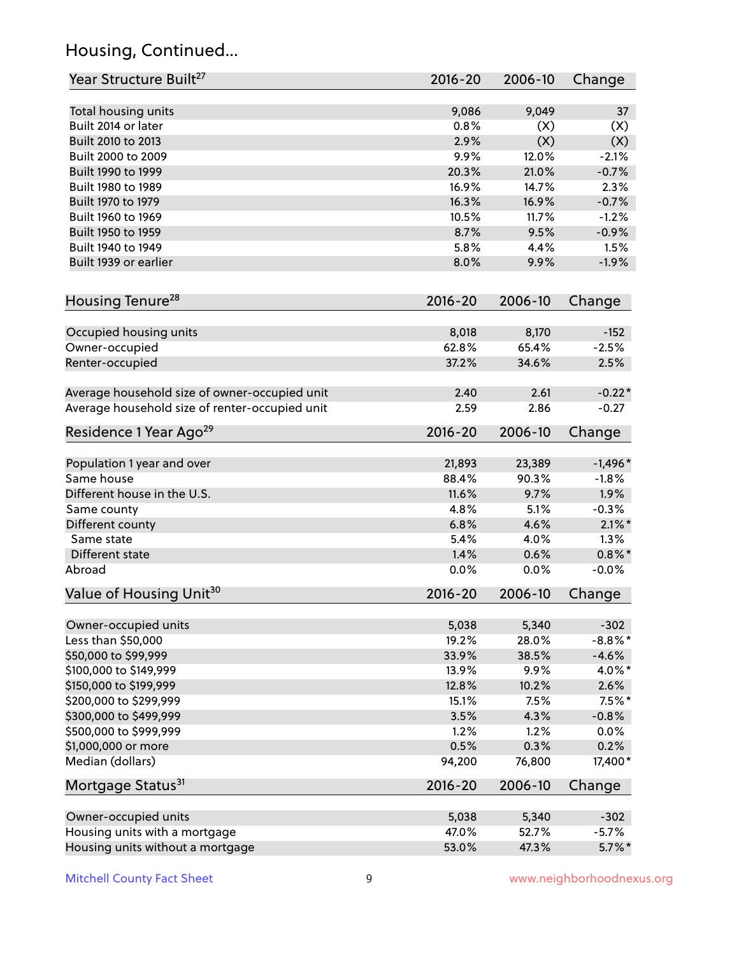# Housing, Continued...

| Year Structure Built <sup>27</sup>             | 2016-20     | 2006-10 | Change     |
|------------------------------------------------|-------------|---------|------------|
|                                                |             |         |            |
| Total housing units                            | 9,086       | 9,049   | 37         |
| Built 2014 or later                            | 0.8%        | (X)     | (X)        |
| Built 2010 to 2013                             | 2.9%        | (X)     | (X)        |
| Built 2000 to 2009                             | 9.9%        | 12.0%   | $-2.1%$    |
| Built 1990 to 1999                             | 20.3%       | 21.0%   | $-0.7%$    |
| Built 1980 to 1989                             | 16.9%       | 14.7%   | 2.3%       |
| Built 1970 to 1979                             | 16.3%       | 16.9%   | $-0.7%$    |
| Built 1960 to 1969                             | 10.5%       | 11.7%   | $-1.2%$    |
| Built 1950 to 1959                             | 8.7%        | 9.5%    | $-0.9%$    |
| Built 1940 to 1949                             | 5.8%        | 4.4%    | 1.5%       |
| Built 1939 or earlier                          | 8.0%        | 9.9%    | $-1.9%$    |
| Housing Tenure <sup>28</sup>                   | $2016 - 20$ | 2006-10 | Change     |
| Occupied housing units                         | 8,018       | 8,170   | $-152$     |
| Owner-occupied                                 | 62.8%       | 65.4%   | $-2.5%$    |
| Renter-occupied                                | 37.2%       | 34.6%   | 2.5%       |
| Average household size of owner-occupied unit  | 2.40        | 2.61    | $-0.22*$   |
| Average household size of renter-occupied unit | 2.59        | 2.86    | $-0.27$    |
| Residence 1 Year Ago <sup>29</sup>             | $2016 - 20$ | 2006-10 | Change     |
| Population 1 year and over                     | 21,893      | 23,389  | $-1,496*$  |
| Same house                                     | 88.4%       | 90.3%   | $-1.8%$    |
| Different house in the U.S.                    | 11.6%       | 9.7%    | 1.9%       |
| Same county                                    | 4.8%        | 5.1%    | $-0.3%$    |
| Different county                               | 6.8%        | 4.6%    | $2.1\%$ *  |
| Same state                                     | 5.4%        | 4.0%    | 1.3%       |
| Different state                                | 1.4%        | 0.6%    | $0.8\%$ *  |
| Abroad                                         | 0.0%        | 0.0%    | $-0.0%$    |
|                                                |             |         |            |
| Value of Housing Unit <sup>30</sup>            | $2016 - 20$ | 2006-10 | Change     |
| Owner-occupied units                           | 5,038       | 5,340   | $-302$     |
| Less than \$50,000                             | 19.2%       | 28.0%   | $-8.8\%$ * |
| \$50,000 to \$99,999                           | 33.9%       | 38.5%   | $-4.6%$    |
| \$100,000 to \$149,999                         | 13.9%       | 9.9%    | 4.0%*      |
| \$150,000 to \$199,999                         | 12.8%       | 10.2%   | 2.6%       |
| \$200,000 to \$299,999                         | 15.1%       | 7.5%    | $7.5\%$ *  |
| \$300,000 to \$499,999                         | 3.5%        | 4.3%    | $-0.8%$    |
| \$500,000 to \$999,999                         | 1.2%        | 1.2%    | 0.0%       |
| \$1,000,000 or more                            | 0.5%        | 0.3%    | 0.2%       |
| Median (dollars)                               | 94,200      | 76,800  | 17,400*    |
| Mortgage Status <sup>31</sup>                  | $2016 - 20$ | 2006-10 | Change     |
| Owner-occupied units                           | 5,038       | 5,340   | $-302$     |
| Housing units with a mortgage                  | 47.0%       | 52.7%   | $-5.7%$    |
| Housing units without a mortgage               | 53.0%       | 47.3%   | $5.7\%$ *  |
|                                                |             |         |            |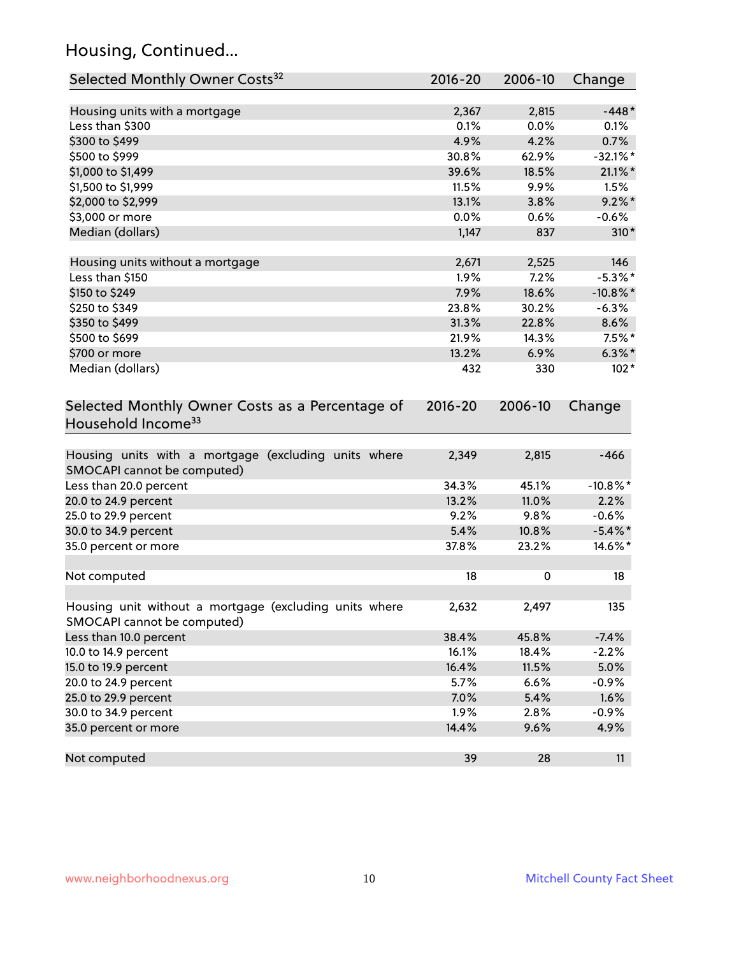# Housing, Continued...

| Selected Monthly Owner Costs <sup>32</sup>                                            | $2016 - 20$ | 2006-10 | Change      |
|---------------------------------------------------------------------------------------|-------------|---------|-------------|
| Housing units with a mortgage                                                         | 2,367       | 2,815   | $-448*$     |
| Less than \$300                                                                       | 0.1%        | 0.0%    | 0.1%        |
| \$300 to \$499                                                                        | 4.9%        | 4.2%    | 0.7%        |
| \$500 to \$999                                                                        | 30.8%       | 62.9%   | $-32.1%$ *  |
| \$1,000 to \$1,499                                                                    | 39.6%       | 18.5%   | $21.1\%$ *  |
| \$1,500 to \$1,999                                                                    | 11.5%       | 9.9%    | 1.5%        |
| \$2,000 to \$2,999                                                                    | 13.1%       | 3.8%    | $9.2\%$ *   |
| \$3,000 or more                                                                       | 0.0%        | 0.6%    | $-0.6%$     |
| Median (dollars)                                                                      | 1,147       | 837     | $310*$      |
| Housing units without a mortgage                                                      | 2,671       | 2,525   | 146         |
| Less than \$150                                                                       | 1.9%        | 7.2%    | $-5.3\%$ *  |
| \$150 to \$249                                                                        | 7.9%        | 18.6%   | $-10.8\%$ * |
| \$250 to \$349                                                                        | 23.8%       | 30.2%   | $-6.3%$     |
| \$350 to \$499                                                                        | 31.3%       | 22.8%   | 8.6%        |
| \$500 to \$699                                                                        | 21.9%       | 14.3%   | $7.5\%$ *   |
| \$700 or more                                                                         | 13.2%       | 6.9%    | $6.3\%$ *   |
| Median (dollars)                                                                      | 432         | 330     | $102*$      |
| Selected Monthly Owner Costs as a Percentage of<br>Household Income <sup>33</sup>     | $2016 - 20$ | 2006-10 | Change      |
| Housing units with a mortgage (excluding units where<br>SMOCAPI cannot be computed)   | 2,349       | 2,815   | $-466$      |
| Less than 20.0 percent                                                                | 34.3%       | 45.1%   | $-10.8\%$ * |
| 20.0 to 24.9 percent                                                                  | 13.2%       | 11.0%   | 2.2%        |
| 25.0 to 29.9 percent                                                                  | 9.2%        | 9.8%    | $-0.6%$     |
| 30.0 to 34.9 percent                                                                  | 5.4%        | 10.8%   | $-5.4\%$ *  |
| 35.0 percent or more                                                                  | 37.8%       | 23.2%   | 14.6%*      |
| Not computed                                                                          | 18          | 0       | 18          |
| Housing unit without a mortgage (excluding units where<br>SMOCAPI cannot be computed) | 2,632       | 2,497   | 135         |
| Less than 10.0 percent                                                                | 38.4%       | 45.8%   | $-7.4%$     |
| 10.0 to 14.9 percent                                                                  | 16.1%       | 18.4%   | $-2.2%$     |
| 15.0 to 19.9 percent                                                                  | 16.4%       | 11.5%   | 5.0%        |
| 20.0 to 24.9 percent                                                                  | 5.7%        | 6.6%    | $-0.9%$     |
| 25.0 to 29.9 percent                                                                  | 7.0%        | 5.4%    | 1.6%        |
| 30.0 to 34.9 percent                                                                  | 1.9%        | 2.8%    | $-0.9%$     |
| 35.0 percent or more                                                                  | 14.4%       | 9.6%    | 4.9%        |
| Not computed                                                                          | 39          | 28      | 11          |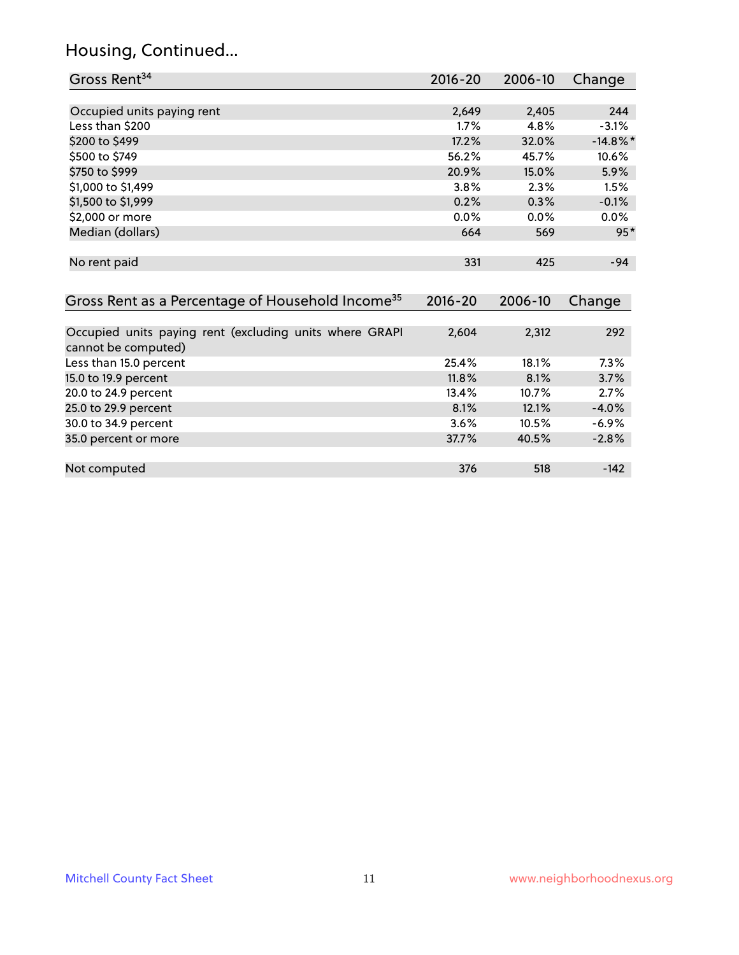# Housing, Continued...

| Gross Rent <sup>34</sup>                                                       | $2016 - 20$ | 2006-10 | Change      |
|--------------------------------------------------------------------------------|-------------|---------|-------------|
|                                                                                |             |         |             |
| Occupied units paying rent                                                     | 2,649       | 2,405   | 244         |
| Less than \$200                                                                | 1.7%        | 4.8%    | $-3.1%$     |
| \$200 to \$499                                                                 | 17.2%       | 32.0%   | $-14.8\%$ * |
| \$500 to \$749                                                                 | 56.2%       | 45.7%   | 10.6%       |
| \$750 to \$999                                                                 | 20.9%       | 15.0%   | 5.9%        |
| \$1,000 to \$1,499                                                             | 3.8%        | 2.3%    | 1.5%        |
| \$1,500 to \$1,999                                                             | 0.2%        | 0.3%    | $-0.1%$     |
| \$2,000 or more                                                                | 0.0%        | $0.0\%$ | 0.0%        |
| Median (dollars)                                                               | 664         | 569     | $95*$       |
| No rent paid                                                                   | 331         | 425     | $-94$       |
|                                                                                |             |         |             |
|                                                                                |             |         |             |
| Gross Rent as a Percentage of Household Income <sup>35</sup>                   | $2016 - 20$ | 2006-10 | Change      |
|                                                                                |             |         |             |
| Occupied units paying rent (excluding units where GRAPI<br>cannot be computed) | 2,604       | 2,312   | 292         |
| Less than 15.0 percent                                                         | 25.4%       | 18.1%   | 7.3%        |
| 15.0 to 19.9 percent                                                           | 11.8%       | 8.1%    | 3.7%        |
| 20.0 to 24.9 percent                                                           | 13.4%       | 10.7%   | 2.7%        |
| 25.0 to 29.9 percent                                                           | 8.1%        | 12.1%   | $-4.0%$     |
| 30.0 to 34.9 percent                                                           | 3.6%        | 10.5%   | $-6.9%$     |
| 35.0 percent or more                                                           | 37.7%       | 40.5%   | $-2.8%$     |
|                                                                                |             |         |             |
| Not computed                                                                   | 376         | 518     | $-142$      |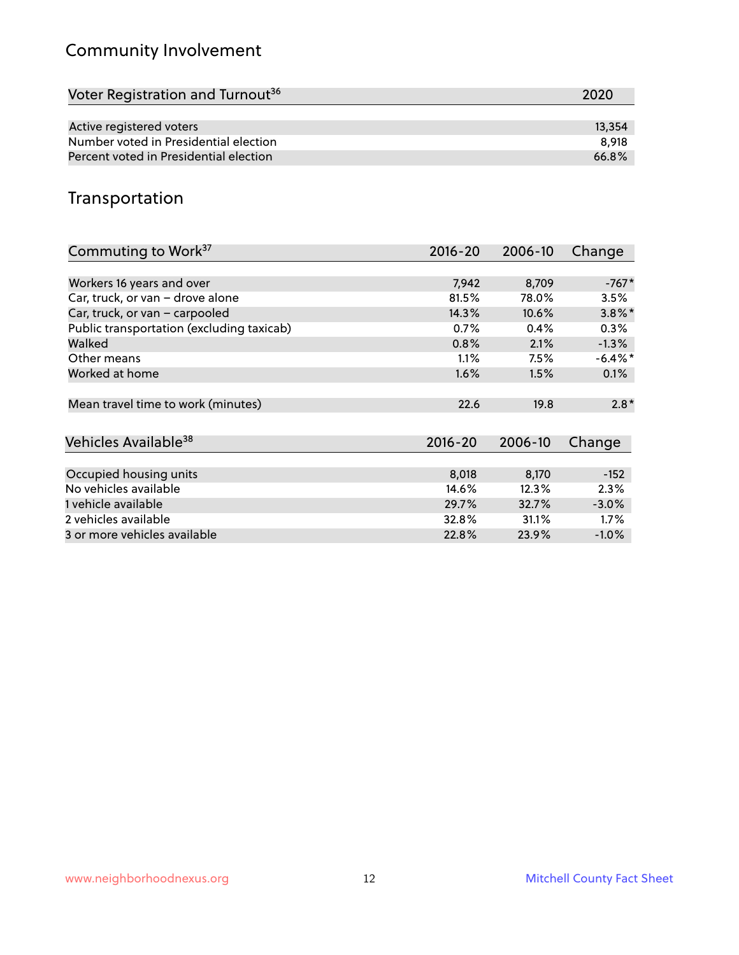# Community Involvement

| Voter Registration and Turnout <sup>36</sup> | 2020   |
|----------------------------------------------|--------|
|                                              |        |
| Active registered voters                     | 13,354 |
| Number voted in Presidential election        | 8.918  |
| Percent voted in Presidential election       | 66.8%  |

## Transportation

| Commuting to Work <sup>37</sup>           | 2016-20     | 2006-10 | Change     |
|-------------------------------------------|-------------|---------|------------|
|                                           |             |         |            |
| Workers 16 years and over                 | 7,942       | 8,709   | $-767*$    |
| Car, truck, or van - drove alone          | 81.5%       | 78.0%   | 3.5%       |
| Car, truck, or van - carpooled            | 14.3%       | 10.6%   | $3.8\%$ *  |
| Public transportation (excluding taxicab) | 0.7%        | 0.4%    | 0.3%       |
| Walked                                    | 0.8%        | 2.1%    | $-1.3\%$   |
| Other means                               | 1.1%        | $7.5\%$ | $-6.4\%$ * |
| Worked at home                            | 1.6%        | 1.5%    | $0.1\%$    |
|                                           |             |         |            |
| Mean travel time to work (minutes)        | 22.6        | 19.8    | $2.8*$     |
|                                           |             |         |            |
| Vehicles Available <sup>38</sup>          | $2016 - 20$ | 2006-10 | Change     |
|                                           |             |         |            |
| Occupied housing units                    | 8,018       | 8,170   | $-152$     |
| No vehicles available                     | 14.6%       | 12.3%   | 2.3%       |
| 1 vehicle available                       | 29.7%       | 32.7%   | $-3.0%$    |
| 2 vehicles available                      | 32.8%       | 31.1%   | $1.7\%$    |
| 3 or more vehicles available              | 22.8%       | 23.9%   | $-1.0%$    |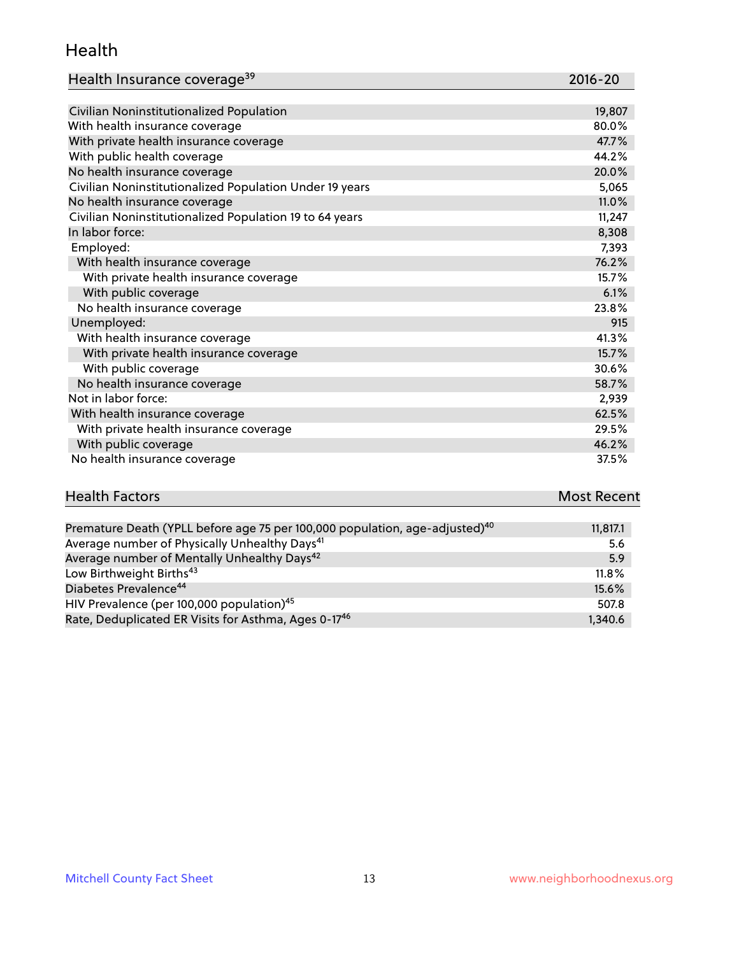#### Health

| Health Insurance coverage <sup>39</sup> | 2016-20 |
|-----------------------------------------|---------|
|-----------------------------------------|---------|

| Civilian Noninstitutionalized Population                | 19,807 |
|---------------------------------------------------------|--------|
| With health insurance coverage                          | 80.0%  |
| With private health insurance coverage                  | 47.7%  |
| With public health coverage                             | 44.2%  |
| No health insurance coverage                            | 20.0%  |
| Civilian Noninstitutionalized Population Under 19 years | 5,065  |
| No health insurance coverage                            | 11.0%  |
| Civilian Noninstitutionalized Population 19 to 64 years | 11,247 |
| In labor force:                                         | 8,308  |
| Employed:                                               | 7,393  |
| With health insurance coverage                          | 76.2%  |
| With private health insurance coverage                  | 15.7%  |
| With public coverage                                    | 6.1%   |
| No health insurance coverage                            | 23.8%  |
| Unemployed:                                             | 915    |
| With health insurance coverage                          | 41.3%  |
| With private health insurance coverage                  | 15.7%  |
| With public coverage                                    | 30.6%  |
| No health insurance coverage                            | 58.7%  |
| Not in labor force:                                     | 2,939  |
| With health insurance coverage                          | 62.5%  |
| With private health insurance coverage                  | 29.5%  |
| With public coverage                                    | 46.2%  |
| No health insurance coverage                            | 37.5%  |

| <b>Health Factors</b>                                                                   | <b>Most Recent</b> |
|-----------------------------------------------------------------------------------------|--------------------|
|                                                                                         |                    |
| Premature Death (YPLL before age 75 per 100,000 population, age-adjusted) <sup>40</sup> | 11.817.1           |

| Premature Death (TPLL before age 75 per 100,000 population, age-adjusted) | 11,017.1 |
|---------------------------------------------------------------------------|----------|
| Average number of Physically Unhealthy Days <sup>41</sup>                 | 5.6      |
| Average number of Mentally Unhealthy Days <sup>42</sup>                   | 5.9      |
| Low Birthweight Births <sup>43</sup>                                      | $11.8\%$ |
| Diabetes Prevalence <sup>44</sup>                                         | 15.6%    |
| HIV Prevalence (per 100,000 population) <sup>45</sup>                     | 507.8    |
| Rate, Deduplicated ER Visits for Asthma, Ages 0-17 <sup>46</sup>          | 1.340.6  |